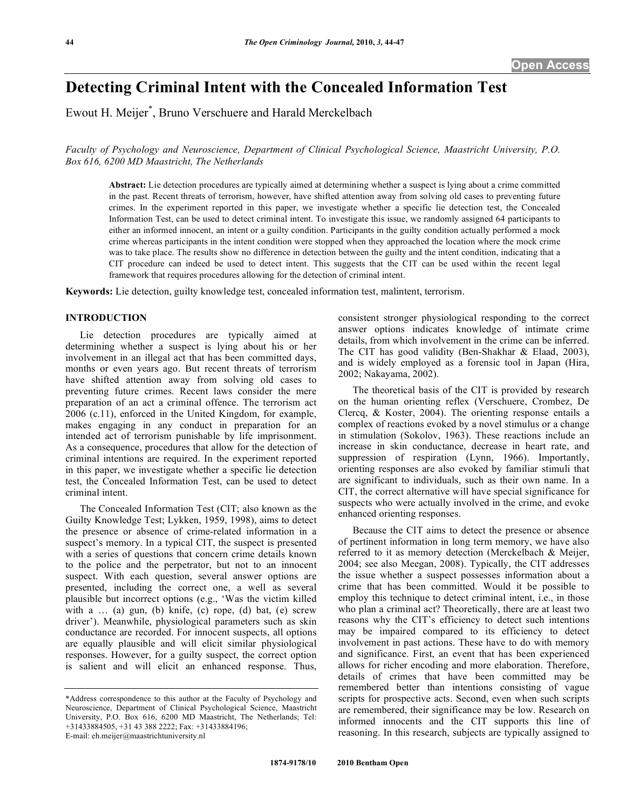# **Detecting Criminal Intent with the Concealed Information Test**

Ewout H. Meijer\* , Bruno Verschuere and Harald Merckelbach

*Faculty of Psychology and Neuroscience, Department of Clinical Psychological Science, Maastricht University, P.O. Box 616, 6200 MD Maastricht, The Netherlands* 

**Abstract:** Lie detection procedures are typically aimed at determining whether a suspect is lying about a crime committed in the past. Recent threats of terrorism, however, have shifted attention away from solving old cases to preventing future crimes. In the experiment reported in this paper, we investigate whether a specific lie detection test, the Concealed Information Test, can be used to detect criminal intent. To investigate this issue, we randomly assigned 64 participants to either an informed innocent, an intent or a guilty condition. Participants in the guilty condition actually performed a mock crime whereas participants in the intent condition were stopped when they approached the location where the mock crime was to take place. The results show no difference in detection between the guilty and the intent condition, indicating that a CIT procedure can indeed be used to detect intent. This suggests that the CIT can be used within the recent legal framework that requires procedures allowing for the detection of criminal intent.

**Keywords:** Lie detection, guilty knowledge test, concealed information test, malintent, terrorism.

### **INTRODUCTION**

 Lie detection procedures are typically aimed at determining whether a suspect is lying about his or her involvement in an illegal act that has been committed days, months or even years ago. But recent threats of terrorism have shifted attention away from solving old cases to preventing future crimes. Recent laws consider the mere preparation of an act a criminal offence. The terrorism act 2006 (c.11), enforced in the United Kingdom, for example, makes engaging in any conduct in preparation for an intended act of terrorism punishable by life imprisonment. As a consequence, procedures that allow for the detection of criminal intentions are required. In the experiment reported in this paper, we investigate whether a specific lie detection test, the Concealed Information Test, can be used to detect criminal intent.

 The Concealed Information Test (CIT; also known as the Guilty Knowledge Test; Lykken, 1959, 1998), aims to detect the presence or absence of crime-related information in a suspect's memory. In a typical CIT, the suspect is presented with a series of questions that concern crime details known to the police and the perpetrator, but not to an innocent suspect. With each question, several answer options are presented, including the correct one, a well as several plausible but incorrect options (e.g., 'Was the victim killed with  $a$  ... (a) gun, (b) knife, (c) rope, (d) bat, (e) screw driver'). Meanwhile, physiological parameters such as skin conductance are recorded. For innocent suspects, all options are equally plausible and will elicit similar physiological responses. However, for a guilty suspect, the correct option is salient and will elicit an enhanced response. Thus,

consistent stronger physiological responding to the correct answer options indicates knowledge of intimate crime details, from which involvement in the crime can be inferred. The CIT has good validity (Ben-Shakhar & Elaad, 2003), and is widely employed as a forensic tool in Japan (Hira, 2002; Nakayama, 2002).

 The theoretical basis of the CIT is provided by research on the human orienting reflex (Verschuere, Crombez, De Clercq, & Koster, 2004). The orienting response entails a complex of reactions evoked by a novel stimulus or a change in stimulation (Sokolov, 1963). These reactions include an increase in skin conductance, decrease in heart rate, and suppression of respiration (Lynn, 1966). Importantly, orienting responses are also evoked by familiar stimuli that are significant to individuals, such as their own name. In a CIT, the correct alternative will have special significance for suspects who were actually involved in the crime, and evoke enhanced orienting responses.

 Because the CIT aims to detect the presence or absence of pertinent information in long term memory, we have also referred to it as memory detection (Merckelbach & Meijer, 2004; see also Meegan, 2008). Typically, the CIT addresses the issue whether a suspect possesses information about a crime that has been committed. Would it be possible to employ this technique to detect criminal intent, i.e., in those who plan a criminal act? Theoretically, there are at least two reasons why the CIT's efficiency to detect such intentions may be impaired compared to its efficiency to detect involvement in past actions. These have to do with memory and significance. First, an event that has been experienced allows for richer encoding and more elaboration. Therefore, details of crimes that have been committed may be remembered better than intentions consisting of vague scripts for prospective acts. Second, even when such scripts are remembered, their significance may be low. Research on informed innocents and the CIT supports this line of reasoning. In this research, subjects are typically assigned to

<sup>\*</sup>Address correspondence to this author at the Faculty of Psychology and Neuroscience, Department of Clinical Psychological Science, Maastricht University, P.O. Box 616, 6200 MD Maastricht, The Netherlands; Tel: +31433884505, +31 43 388 2222; Fax: +31433884196; E-mail: eh.meijer@maastrichtuniversity.nl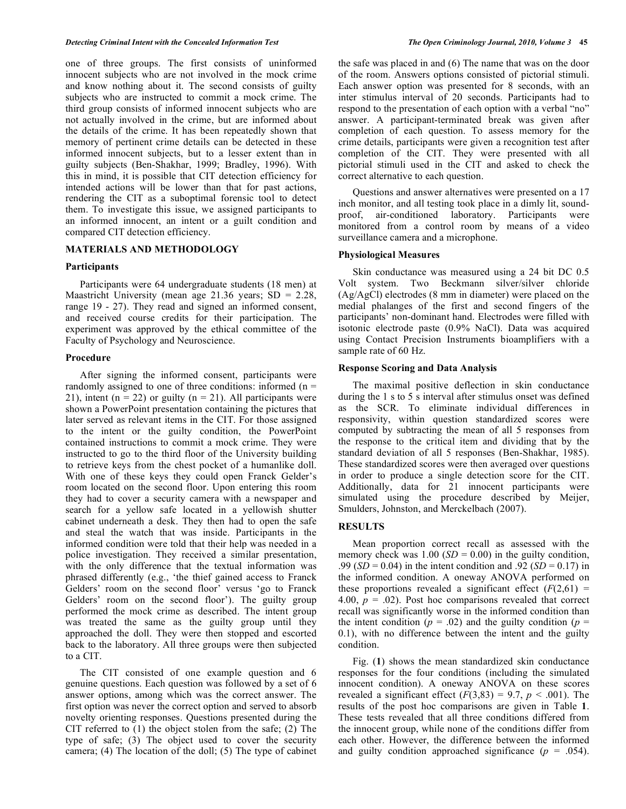one of three groups. The first consists of uninformed innocent subjects who are not involved in the mock crime and know nothing about it. The second consists of guilty subjects who are instructed to commit a mock crime. The third group consists of informed innocent subjects who are not actually involved in the crime, but are informed about the details of the crime. It has been repeatedly shown that memory of pertinent crime details can be detected in these informed innocent subjects, but to a lesser extent than in guilty subjects (Ben-Shakhar, 1999; Bradley, 1996). With this in mind, it is possible that CIT detection efficiency for intended actions will be lower than that for past actions, rendering the CIT as a suboptimal forensic tool to detect them. To investigate this issue, we assigned participants to an informed innocent, an intent or a guilt condition and compared CIT detection efficiency.

### **MATERIALS AND METHODOLOGY**

#### **Participants**

 Participants were 64 undergraduate students (18 men) at Maastricht University (mean age  $21.36$  years; SD = 2.28, range 19 - 27). They read and signed an informed consent, and received course credits for their participation. The experiment was approved by the ethical committee of the Faculty of Psychology and Neuroscience.

### **Procedure**

 After signing the informed consent, participants were randomly assigned to one of three conditions: informed  $(n =$ 21), intent ( $n = 22$ ) or guilty ( $n = 21$ ). All participants were shown a PowerPoint presentation containing the pictures that later served as relevant items in the CIT. For those assigned to the intent or the guilty condition, the PowerPoint contained instructions to commit a mock crime. They were instructed to go to the third floor of the University building to retrieve keys from the chest pocket of a humanlike doll. With one of these keys they could open Franck Gelder's room located on the second floor. Upon entering this room they had to cover a security camera with a newspaper and search for a yellow safe located in a yellowish shutter cabinet underneath a desk. They then had to open the safe and steal the watch that was inside. Participants in the informed condition were told that their help was needed in a police investigation. They received a similar presentation, with the only difference that the textual information was phrased differently (e.g., 'the thief gained access to Franck Gelders' room on the second floor' versus 'go to Franck Gelders' room on the second floor'). The guilty group performed the mock crime as described. The intent group was treated the same as the guilty group until they approached the doll. They were then stopped and escorted back to the laboratory. All three groups were then subjected to a CIT.

 The CIT consisted of one example question and 6 genuine questions. Each question was followed by a set of 6 answer options, among which was the correct answer. The first option was never the correct option and served to absorb novelty orienting responses. Questions presented during the CIT referred to (1) the object stolen from the safe; (2) The type of safe; (3) The object used to cover the security camera; (4) The location of the doll; (5) The type of cabinet

the safe was placed in and (6) The name that was on the door of the room. Answers options consisted of pictorial stimuli. Each answer option was presented for 8 seconds, with an inter stimulus interval of 20 seconds. Participants had to respond to the presentation of each option with a verbal "no" answer. A participant-terminated break was given after completion of each question. To assess memory for the crime details, participants were given a recognition test after completion of the CIT. They were presented with all pictorial stimuli used in the CIT and asked to check the correct alternative to each question.

 Questions and answer alternatives were presented on a 17 inch monitor, and all testing took place in a dimly lit, soundproof, air-conditioned laboratory. Participants were monitored from a control room by means of a video surveillance camera and a microphone.

## **Physiological Measures**

 Skin conductance was measured using a 24 bit DC 0.5 Volt system. Two Beckmann silver/silver chloride (Ag/AgCl) electrodes (8 mm in diameter) were placed on the medial phalanges of the first and second fingers of the participants' non-dominant hand. Electrodes were filled with isotonic electrode paste (0.9% NaCl). Data was acquired using Contact Precision Instruments bioamplifiers with a sample rate of 60 Hz.

#### **Response Scoring and Data Analysis**

 The maximal positive deflection in skin conductance during the 1 s to 5 s interval after stimulus onset was defined as the SCR. To eliminate individual differences in responsivity, within question standardized scores were computed by subtracting the mean of all 5 responses from the response to the critical item and dividing that by the standard deviation of all 5 responses (Ben-Shakhar, 1985). These standardized scores were then averaged over questions in order to produce a single detection score for the CIT. Additionally, data for 21 innocent participants were simulated using the procedure described by Meijer, Smulders, Johnston, and Merckelbach (2007).

## **RESULTS**

 Mean proportion correct recall as assessed with the memory check was  $1.00$  (*SD* = 0.00) in the guilty condition, .99 (*SD* = 0.04) in the intent condition and .92 (*SD* = 0.17) in the informed condition. A oneway ANOVA performed on these proportions revealed a significant effect  $(F(2,61) =$ 4.00,  $p = .02$ ). Post hoc comparisons revealed that correct recall was significantly worse in the informed condition than the intent condition ( $p = .02$ ) and the guilty condition ( $p =$ 0.1), with no difference between the intent and the guilty condition.

 Fig. (**1**) shows the mean standardized skin conductance responses for the four conditions (including the simulated innocent condition). A oneway ANOVA on these scores revealed a significant effect  $(F(3,83) = 9.7, p < .001)$ . The results of the post hoc comparisons are given in Table **1**. These tests revealed that all three conditions differed from the innocent group, while none of the conditions differ from each other. However, the difference between the informed and guilty condition approached significance  $(p = .054)$ .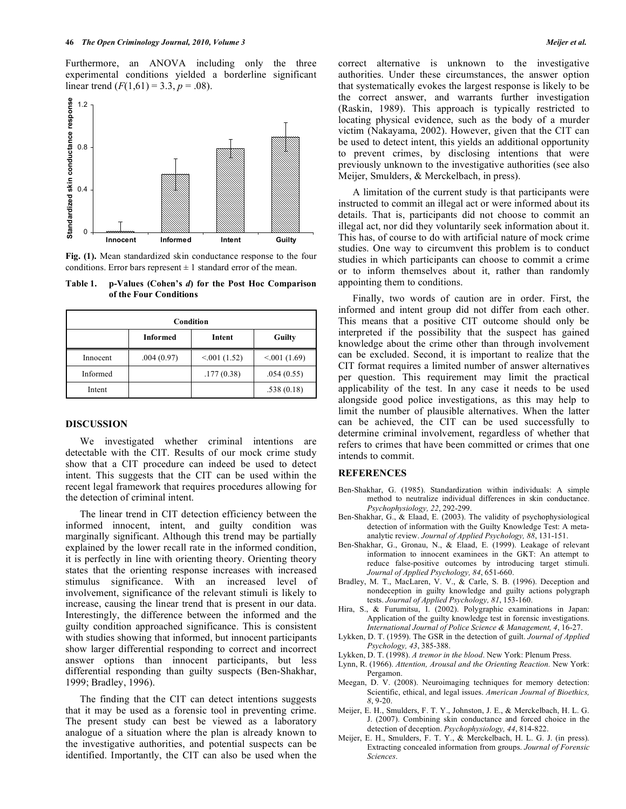Furthermore, an ANOVA including only the three experimental conditions yielded a borderline significant linear trend  $(F(1,61) = 3.3, p = .08)$ .



**Fig. (1).** Mean standardized skin conductance response to the four conditions. Error bars represent  $\pm 1$  standard error of the mean.

| Condition |                 |             |             |
|-----------|-----------------|-------------|-------------|
|           | <b>Informed</b> | Intent      | Guilty      |
| Innocent  | .004(0.97)      | < 001(1.52) | < 001(1.69) |
| Informed  |                 | .177(0.38)  | .054(0.55)  |
| Intent    |                 |             | .538(0.18)  |

**Table 1. p-Values (Cohen's** *d***) for the Post Hoc Comparison of the Four Conditions** 

#### **DISCUSSION**

 We investigated whether criminal intentions are detectable with the CIT. Results of our mock crime study show that a CIT procedure can indeed be used to detect intent. This suggests that the CIT can be used within the recent legal framework that requires procedures allowing for the detection of criminal intent.

 The linear trend in CIT detection efficiency between the informed innocent, intent, and guilty condition was marginally significant. Although this trend may be partially explained by the lower recall rate in the informed condition, it is perfectly in line with orienting theory. Orienting theory states that the orienting response increases with increased stimulus significance. With an increased level of involvement, significance of the relevant stimuli is likely to increase, causing the linear trend that is present in our data. Interestingly, the difference between the informed and the guilty condition approached significance. This is consistent with studies showing that informed, but innocent participants show larger differential responding to correct and incorrect answer options than innocent participants, but less differential responding than guilty suspects (Ben-Shakhar, 1999; Bradley, 1996).

 The finding that the CIT can detect intentions suggests that it may be used as a forensic tool in preventing crime. The present study can best be viewed as a laboratory analogue of a situation where the plan is already known to the investigative authorities, and potential suspects can be identified. Importantly, the CIT can also be used when the

correct alternative is unknown to the investigative authorities. Under these circumstances, the answer option that systematically evokes the largest response is likely to be the correct answer, and warrants further investigation (Raskin, 1989). This approach is typically restricted to locating physical evidence, such as the body of a murder victim (Nakayama, 2002). However, given that the CIT can be used to detect intent, this yields an additional opportunity to prevent crimes, by disclosing intentions that were previously unknown to the investigative authorities (see also Meijer, Smulders, & Merckelbach, in press).

 A limitation of the current study is that participants were instructed to commit an illegal act or were informed about its details. That is, participants did not choose to commit an illegal act, nor did they voluntarily seek information about it. This has, of course to do with artificial nature of mock crime studies. One way to circumvent this problem is to conduct studies in which participants can choose to commit a crime or to inform themselves about it, rather than randomly appointing them to conditions.

 Finally, two words of caution are in order. First, the informed and intent group did not differ from each other. This means that a positive CIT outcome should only be interpreted if the possibility that the suspect has gained knowledge about the crime other than through involvement can be excluded. Second, it is important to realize that the CIT format requires a limited number of answer alternatives per question. This requirement may limit the practical applicability of the test. In any case it needs to be used alongside good police investigations, as this may help to limit the number of plausible alternatives. When the latter can be achieved, the CIT can be used successfully to determine criminal involvement, regardless of whether that refers to crimes that have been committed or crimes that one intends to commit.

#### **REFERENCES**

- Ben-Shakhar, G. (1985). Standardization within individuals: A simple method to neutralize individual differences in skin conductance. *Psychophysiology, 22*, 292-299.
- Ben-Shakhar, G., & Elaad, E. (2003). The validity of psychophysiological detection of information with the Guilty Knowledge Test: A metaanalytic review. *Journal of Applied Psychology, 88*, 131-151.
- Ben-Shakhar, G., Gronau, N., & Elaad, E. (1999). Leakage of relevant information to innocent examinees in the GKT: An attempt to reduce false-positive outcomes by introducing target stimuli. *Journal of Applied Psychology, 84*, 651-660.
- Bradley, M. T., MacLaren, V. V., & Carle, S. B. (1996). Deception and nondeception in guilty knowledge and guilty actions polygraph tests. *Journal of Applied Psychology, 81*, 153-160.
- Hira, S., & Furumitsu, I. (2002). Polygraphic examinations in Japan: Application of the guilty knowledge test in forensic investigations. *International Journal of Police Science & Management, 4*, 16-27.
- Lykken, D. T. (1959). The GSR in the detection of guilt. *Journal of Applied Psychology, 43*, 385-388.
- Lykken, D. T. (1998). *A tremor in the blood*. New York: Plenum Press.
- Lynn, R. (1966). *Attention, Arousal and the Orienting Reaction.* New York: Pergamon.
- Meegan, D. V. (2008). Neuroimaging techniques for memory detection: Scientific, ethical, and legal issues. *American Journal of Bioethics, 8*, 9-20.
- Meijer, E. H., Smulders, F. T. Y., Johnston, J. E., & Merckelbach, H. L. G. J. (2007). Combining skin conductance and forced choice in the detection of deception. *Psychophysiology, 44*, 814-822.
- Meijer, E. H., Smulders, F. T. Y., & Merckelbach, H. L. G. J. (in press). Extracting concealed information from groups. *Journal of Forensic Sciences*.